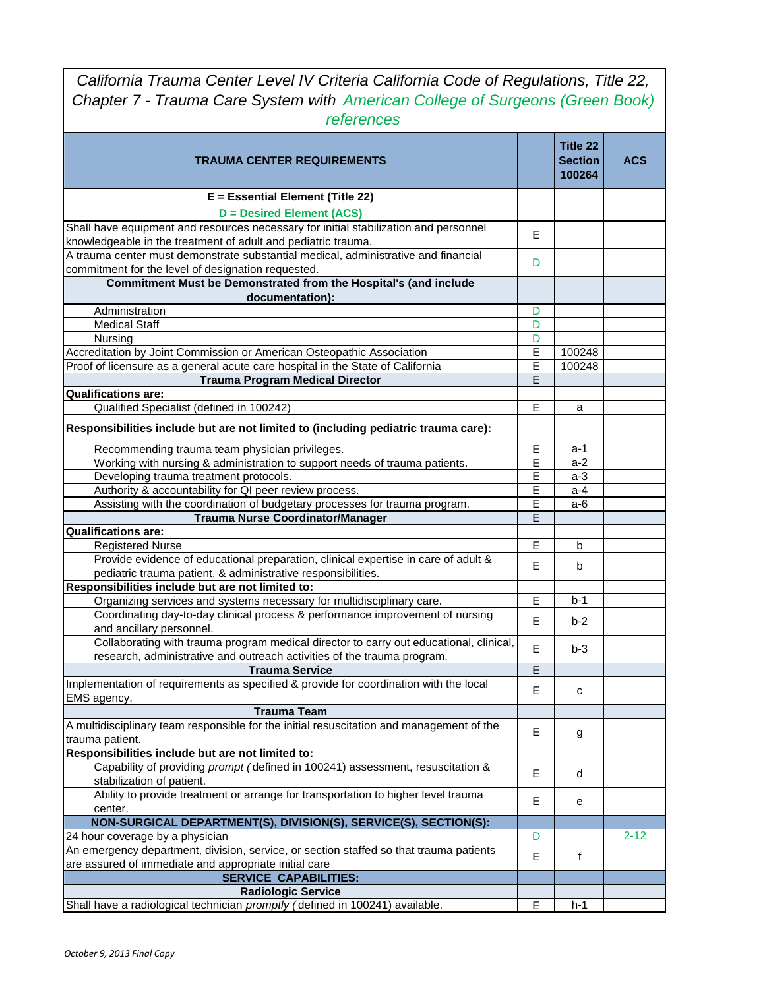*California Trauma Center Level IV Criteria California Code of Regulations, Title 22, Chapter 7 - Trauma Care System with American College of Surgeons (Green Book) references* 

| <b>TRAUMA CENTER REQUIREMENTS</b>                                                                                                                       |                | Title 22<br><b>Section</b><br>100264 | <b>ACS</b> |
|---------------------------------------------------------------------------------------------------------------------------------------------------------|----------------|--------------------------------------|------------|
| E = Essential Element (Title 22)                                                                                                                        |                |                                      |            |
| <b>D</b> = Desired Element (ACS)                                                                                                                        |                |                                      |            |
| Shall have equipment and resources necessary for initial stabilization and personnel                                                                    | E              |                                      |            |
| knowledgeable in the treatment of adult and pediatric trauma.                                                                                           |                |                                      |            |
| A trauma center must demonstrate substantial medical, administrative and financial                                                                      | D              |                                      |            |
| commitment for the level of designation requested.                                                                                                      |                |                                      |            |
| Commitment Must be Demonstrated from the Hospital's (and include                                                                                        |                |                                      |            |
| documentation):                                                                                                                                         |                |                                      |            |
| Administration                                                                                                                                          | D              |                                      |            |
| <b>Medical Staff</b>                                                                                                                                    | D              |                                      |            |
| Nursing                                                                                                                                                 | D<br>Ē         | 100248                               |            |
| Accreditation by Joint Commission or American Osteopathic Association<br>Proof of licensure as a general acute care hospital in the State of California | $\overline{E}$ | 100248                               |            |
| <b>Trauma Program Medical Director</b>                                                                                                                  | E              |                                      |            |
| <b>Qualifications are:</b>                                                                                                                              |                |                                      |            |
| Qualified Specialist (defined in 100242)                                                                                                                | E              | a                                    |            |
|                                                                                                                                                         |                |                                      |            |
| Responsibilities include but are not limited to (including pediatric trauma care):                                                                      |                |                                      |            |
| Recommending trauma team physician privileges.                                                                                                          | E              | a-1                                  |            |
| Working with nursing & administration to support needs of trauma patients.                                                                              | E              | $a-2$                                |            |
| Developing trauma treatment protocols.                                                                                                                  | E              | $a-3$                                |            |
| Authority & accountability for QI peer review process.                                                                                                  | E              | $a-4$                                |            |
| Assisting with the coordination of budgetary processes for trauma program.                                                                              | E              | a-6                                  |            |
| <b>Trauma Nurse Coordinator/Manager</b>                                                                                                                 | E              |                                      |            |
| <b>Qualifications are:</b>                                                                                                                              |                |                                      |            |
| <b>Registered Nurse</b>                                                                                                                                 | E              | $\mathsf{b}$                         |            |
| Provide evidence of educational preparation, clinical expertise in care of adult &                                                                      | E              | b                                    |            |
| pediatric trauma patient, & administrative responsibilities.<br>Responsibilities include but are not limited to:                                        |                |                                      |            |
| Organizing services and systems necessary for multidisciplinary care.                                                                                   | E              | $b-1$                                |            |
| Coordinating day-to-day clinical process & performance improvement of nursing                                                                           |                |                                      |            |
| and ancillary personnel.                                                                                                                                | E              | $b-2$                                |            |
| Collaborating with trauma program medical director to carry out educational, clinical,                                                                  |                |                                      |            |
| research, administrative and outreach activities of the trauma program.                                                                                 | E              | $b-3$                                |            |
| <b>Trauma Service</b>                                                                                                                                   | E              |                                      |            |
| Implementation of requirements as specified & provide for coordination with the local                                                                   | E              | с                                    |            |
| EMS agency.                                                                                                                                             |                |                                      |            |
| <b>Trauma Team</b>                                                                                                                                      |                |                                      |            |
| A multidisciplinary team responsible for the initial resuscitation and management of the                                                                | E              | g                                    |            |
| trauma patient.                                                                                                                                         |                |                                      |            |
| Responsibilities include but are not limited to:                                                                                                        |                |                                      |            |
| Capability of providing prompt (defined in 100241) assessment, resuscitation &                                                                          | E              | d                                    |            |
| stabilization of patient.                                                                                                                               |                |                                      |            |
| Ability to provide treatment or arrange for transportation to higher level trauma                                                                       | E              | е                                    |            |
| center.                                                                                                                                                 |                |                                      |            |
| NON-SURGICAL DEPARTMENT(S), DIVISION(S), SERVICE(S), SECTION(S):                                                                                        | D              |                                      | $2 - 12$   |
| 24 hour coverage by a physician                                                                                                                         |                |                                      |            |
| An emergency department, division, service, or section staffed so that trauma patients<br>are assured of immediate and appropriate initial care         | E              | f                                    |            |
| <b>SERVICE CAPABILITIES:</b>                                                                                                                            |                |                                      |            |
| <b>Radiologic Service</b>                                                                                                                               |                |                                      |            |
| Shall have a radiological technician promptly (defined in 100241) available.                                                                            | E              | $h-1$                                |            |
|                                                                                                                                                         |                |                                      |            |